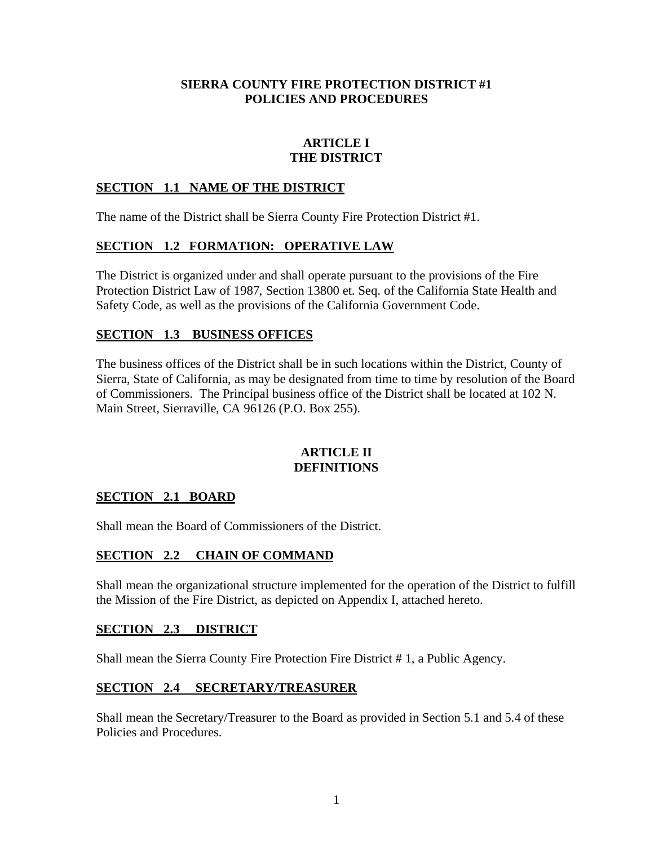#### **SIERRA COUNTY FIRE PROTECTION DISTRICT #1 POLICIES AND PROCEDURES**

# **ARTICLE I THE DISTRICT**

## **SECTION 1.1 NAME OF THE DISTRICT**

The name of the District shall be Sierra County Fire Protection District #1.

## **SECTION 1.2 FORMATION: OPERATIVE LAW**

The District is organized under and shall operate pursuant to the provisions of the Fire Protection District Law of 1987, Section 13800 et. Seq. of the California State Health and Safety Code, as well as the provisions of the California Government Code.

## **SECTION 1.3 BUSINESS OFFICES**

The business offices of the District shall be in such locations within the District, County of Sierra, State of California, as may be designated from time to time by resolution of the Board of Commissioners. The Principal business office of the District shall be located at 102 N. Main Street, Sierraville, CA 96126 (P.O. Box 255).

#### **ARTICLE II DEFINITIONS**

# **SECTION 2.1 BOARD**

Shall mean the Board of Commissioners of the District.

## **SECTION 2.2 CHAIN OF COMMAND**

Shall mean the organizational structure implemented for the operation of the District to fulfill the Mission of the Fire District, as depicted on Appendix I, attached hereto.

#### **SECTION 2.3 DISTRICT**

Shall mean the Sierra County Fire Protection Fire District # 1, a Public Agency.

## **SECTION 2.4 SECRETARY/TREASURER**

Shall mean the Secretary/Treasurer to the Board as provided in Section 5.1 and 5.4 of these Policies and Procedures.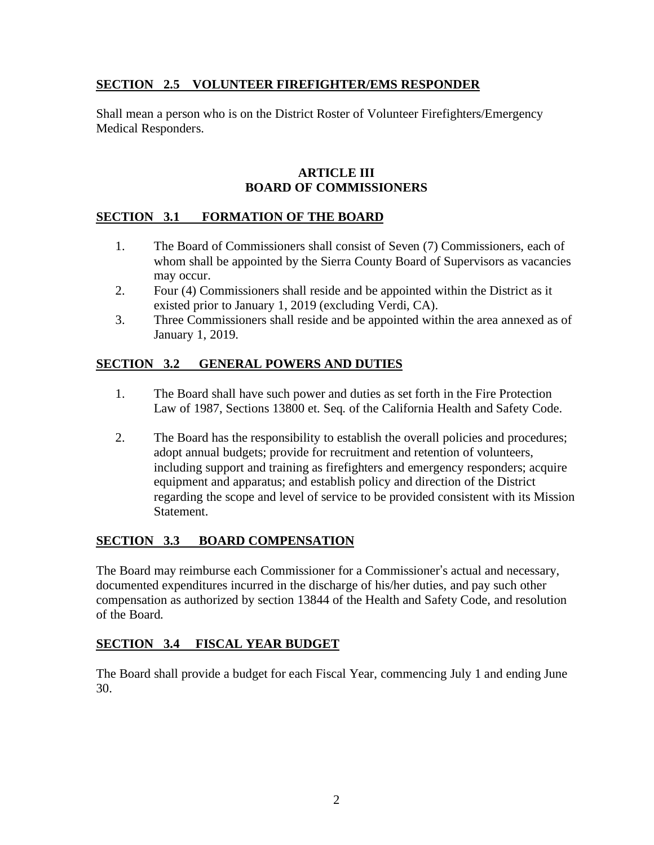## **SECTION 2.5 VOLUNTEER FIREFIGHTER/EMS RESPONDER**

Shall mean a person who is on the District Roster of Volunteer Firefighters/Emergency Medical Responders.

#### **ARTICLE III BOARD OF COMMISSIONERS**

# **SECTION 3.1 FORMATION OF THE BOARD**

- 1. The Board of Commissioners shall consist of Seven (7) Commissioners, each of whom shall be appointed by the Sierra County Board of Supervisors as vacancies may occur.
- 2. Four (4) Commissioners shall reside and be appointed within the District as it existed prior to January 1, 2019 (excluding Verdi, CA).
- 3. Three Commissioners shall reside and be appointed within the area annexed as of January 1, 2019.

# **SECTION 3.2 GENERAL POWERS AND DUTIES**

- 1. The Board shall have such power and duties as set forth in the Fire Protection Law of 1987, Sections 13800 et. Seq. of the California Health and Safety Code.
- 2. The Board has the responsibility to establish the overall policies and procedures; adopt annual budgets; provide for recruitment and retention of volunteers, including support and training as firefighters and emergency responders; acquire equipment and apparatus; and establish policy and direction of the District regarding the scope and level of service to be provided consistent with its Mission Statement.

# **SECTION 3.3 BOARD COMPENSATION**

The Board may reimburse each Commissioner for a Commissioner's actual and necessary, documented expenditures incurred in the discharge of his/her duties, and pay such other compensation as authorized by section 13844 of the Health and Safety Code, and resolution of the Board.

## **SECTION 3.4 FISCAL YEAR BUDGET**

The Board shall provide a budget for each Fiscal Year, commencing July 1 and ending June 30.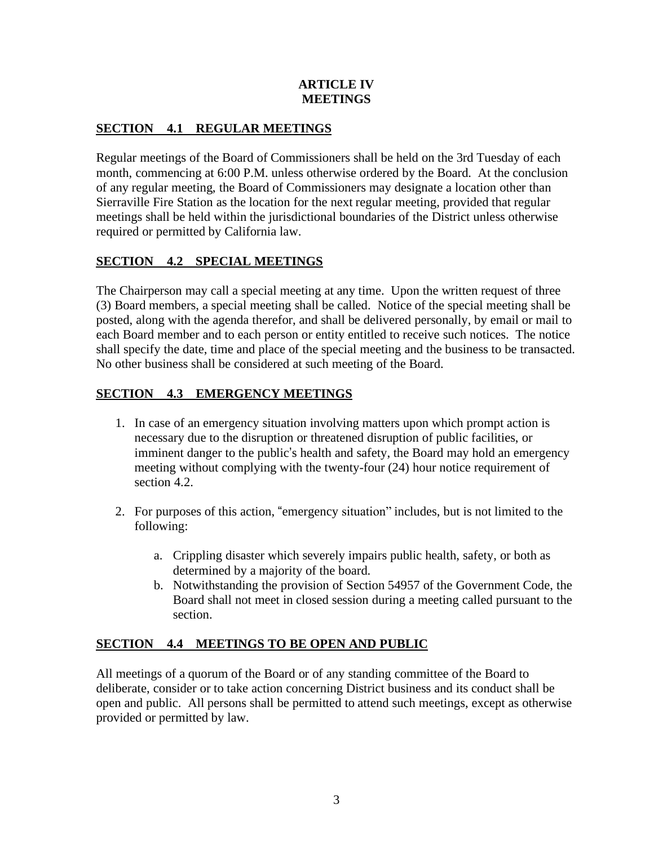## **ARTICLE IV MEETINGS**

# **SECTION 4.1 REGULAR MEETINGS**

Regular meetings of the Board of Commissioners shall be held on the 3rd Tuesday of each month, commencing at 6:00 P.M. unless otherwise ordered by the Board. At the conclusion of any regular meeting, the Board of Commissioners may designate a location other than Sierraville Fire Station as the location for the next regular meeting, provided that regular meetings shall be held within the jurisdictional boundaries of the District unless otherwise required or permitted by California law.

# **SECTION 4.2 SPECIAL MEETINGS**

The Chairperson may call a special meeting at any time. Upon the written request of three (3) Board members, a special meeting shall be called. Notice of the special meeting shall be posted, along with the agenda therefor, and shall be delivered personally, by email or mail to each Board member and to each person or entity entitled to receive such notices. The notice shall specify the date, time and place of the special meeting and the business to be transacted. No other business shall be considered at such meeting of the Board.

# **SECTION 4.3 EMERGENCY MEETINGS**

- 1. In case of an emergency situation involving matters upon which prompt action is necessary due to the disruption or threatened disruption of public facilities, or imminent danger to the public's health and safety, the Board may hold an emergency meeting without complying with the twenty-four (24) hour notice requirement of section 4.2.
- 2. For purposes of this action, "emergency situation" includes, but is not limited to the following:
	- a. Crippling disaster which severely impairs public health, safety, or both as determined by a majority of the board.
	- b. Notwithstanding the provision of Section 54957 of the Government Code, the Board shall not meet in closed session during a meeting called pursuant to the section.

# **SECTION 4.4 MEETINGS TO BE OPEN AND PUBLIC**

All meetings of a quorum of the Board or of any standing committee of the Board to deliberate, consider or to take action concerning District business and its conduct shall be open and public. All persons shall be permitted to attend such meetings, except as otherwise provided or permitted by law.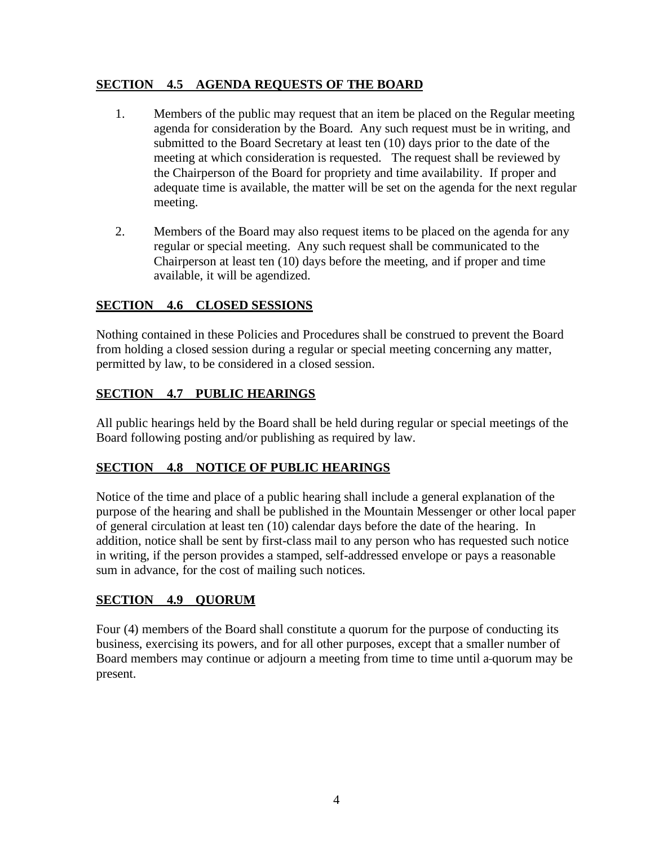# **SECTION 4.5 AGENDA REQUESTS OF THE BOARD**

- 1. Members of the public may request that an item be placed on the Regular meeting agenda for consideration by the Board. Any such request must be in writing, and submitted to the Board Secretary at least ten (10) days prior to the date of the meeting at which consideration is requested. The request shall be reviewed by the Chairperson of the Board for propriety and time availability. If proper and adequate time is available, the matter will be set on the agenda for the next regular meeting.
- 2. Members of the Board may also request items to be placed on the agenda for any regular or special meeting. Any such request shall be communicated to the Chairperson at least ten (10) days before the meeting, and if proper and time available, it will be agendized.

# **SECTION 4.6 CLOSED SESSIONS**

Nothing contained in these Policies and Procedures shall be construed to prevent the Board from holding a closed session during a regular or special meeting concerning any matter, permitted by law, to be considered in a closed session.

# **SECTION 4.7 PUBLIC HEARINGS**

All public hearings held by the Board shall be held during regular or special meetings of the Board following posting and/or publishing as required by law.

# **SECTION 4.8 NOTICE OF PUBLIC HEARINGS**

Notice of the time and place of a public hearing shall include a general explanation of the purpose of the hearing and shall be published in the Mountain Messenger or other local paper of general circulation at least ten (10) calendar days before the date of the hearing. In addition, notice shall be sent by first-class mail to any person who has requested such notice in writing, if the person provides a stamped, self-addressed envelope or pays a reasonable sum in advance, for the cost of mailing such notices.

## **SECTION 4.9 QUORUM**

Four (4) members of the Board shall constitute a quorum for the purpose of conducting its business, exercising its powers, and for all other purposes, except that a smaller number of Board members may continue or adjourn a meeting from time to time until a-quorum may be present.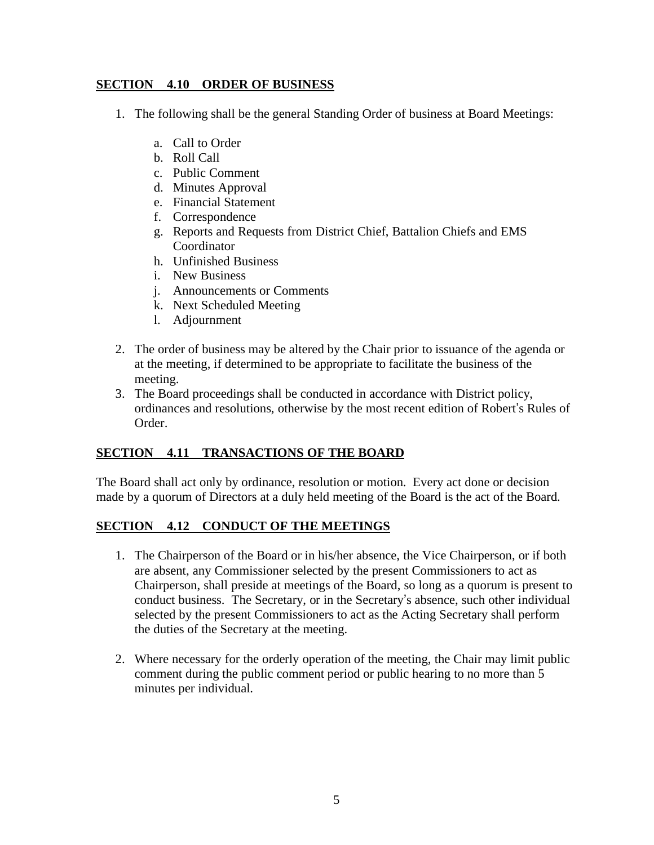## **SECTION 4.10 ORDER OF BUSINESS**

- 1. The following shall be the general Standing Order of business at Board Meetings:
	- a. Call to Order
	- b. Roll Call
	- c. Public Comment
	- d. Minutes Approval
	- e. Financial Statement
	- f. Correspondence
	- g. Reports and Requests from District Chief, Battalion Chiefs and EMS **Coordinator**
	- h. Unfinished Business
	- i. New Business
	- j. Announcements or Comments
	- k. Next Scheduled Meeting
	- l. Adjournment
- 2. The order of business may be altered by the Chair prior to issuance of the agenda or at the meeting, if determined to be appropriate to facilitate the business of the meeting.
- 3. The Board proceedings shall be conducted in accordance with District policy, ordinances and resolutions, otherwise by the most recent edition of Robert's Rules of Order.

# **SECTION 4.11 TRANSACTIONS OF THE BOARD**

The Board shall act only by ordinance, resolution or motion. Every act done or decision made by a quorum of Directors at a duly held meeting of the Board is the act of the Board.

## **SECTION 4.12 CONDUCT OF THE MEETINGS**

- 1. The Chairperson of the Board or in his/her absence, the Vice Chairperson, or if both are absent, any Commissioner selected by the present Commissioners to act as Chairperson, shall preside at meetings of the Board, so long as a quorum is present to conduct business. The Secretary, or in the Secretary's absence, such other individual selected by the present Commissioners to act as the Acting Secretary shall perform the duties of the Secretary at the meeting.
- 2. Where necessary for the orderly operation of the meeting, the Chair may limit public comment during the public comment period or public hearing to no more than 5 minutes per individual.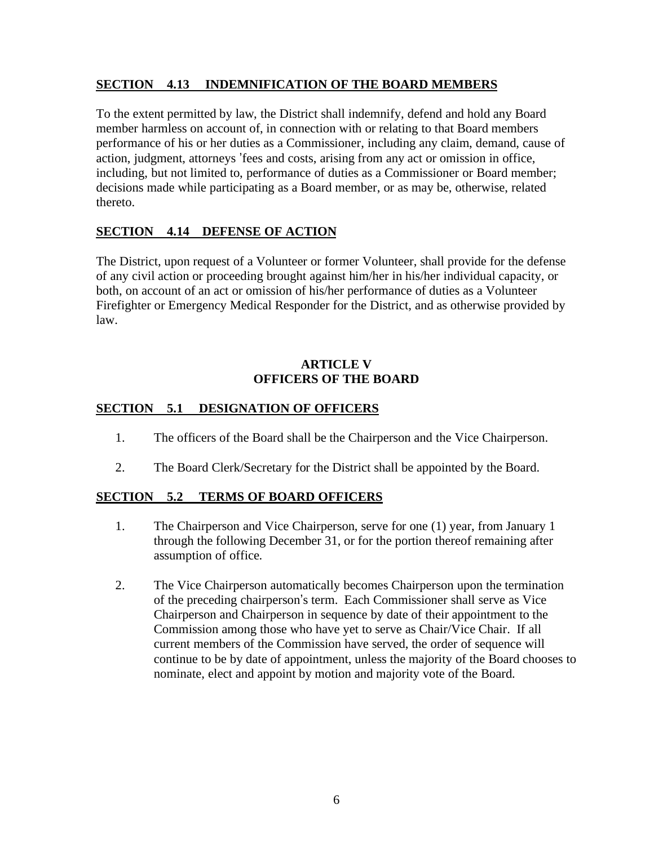## **SECTION 4.13 INDEMNIFICATION OF THE BOARD MEMBERS**

To the extent permitted by law, the District shall indemnify, defend and hold any Board member harmless on account of, in connection with or relating to that Board members performance of his or her duties as a Commissioner, including any claim, demand, cause of action, judgment, attorneys 'fees and costs, arising from any act or omission in office, including, but not limited to, performance of duties as a Commissioner or Board member; decisions made while participating as a Board member, or as may be, otherwise, related thereto.

# **SECTION 4.14 DEFENSE OF ACTION**

The District, upon request of a Volunteer or former Volunteer, shall provide for the defense of any civil action or proceeding brought against him/her in his/her individual capacity, or both, on account of an act or omission of his/her performance of duties as a Volunteer Firefighter or Emergency Medical Responder for the District, and as otherwise provided by law.

#### **ARTICLE V OFFICERS OF THE BOARD**

# **SECTION 5.1 DESIGNATION OF OFFICERS**

- 1. The officers of the Board shall be the Chairperson and the Vice Chairperson.
- 2. The Board Clerk/Secretary for the District shall be appointed by the Board.

# **SECTION 5.2 TERMS OF BOARD OFFICERS**

- 1. The Chairperson and Vice Chairperson, serve for one (1) year, from January 1 through the following December 31, or for the portion thereof remaining after assumption of office.
- 2. The Vice Chairperson automatically becomes Chairperson upon the termination of the preceding chairperson's term. Each Commissioner shall serve as Vice Chairperson and Chairperson in sequence by date of their appointment to the Commission among those who have yet to serve as Chair/Vice Chair. If all current members of the Commission have served, the order of sequence will continue to be by date of appointment, unless the majority of the Board chooses to nominate, elect and appoint by motion and majority vote of the Board.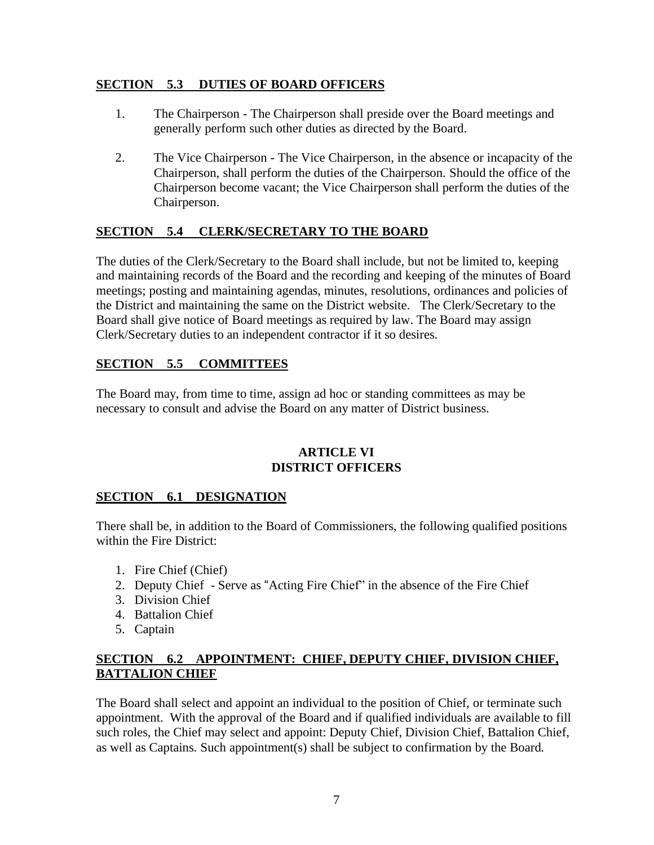### **SECTION 5.3 DUTIES OF BOARD OFFICERS**

- 1. The Chairperson The Chairperson shall preside over the Board meetings and generally perform such other duties as directed by the Board.
- 2. The Vice Chairperson The Vice Chairperson, in the absence or incapacity of the Chairperson, shall perform the duties of the Chairperson. Should the office of the Chairperson become vacant; the Vice Chairperson shall perform the duties of the Chairperson.

# **SECTION 5.4 CLERK/SECRETARY TO THE BOARD**

The duties of the Clerk/Secretary to the Board shall include, but not be limited to, keeping and maintaining records of the Board and the recording and keeping of the minutes of Board meetings; posting and maintaining agendas, minutes, resolutions, ordinances and policies of the District and maintaining the same on the District website. The Clerk/Secretary to the Board shall give notice of Board meetings as required by law. The Board may assign Clerk/Secretary duties to an independent contractor if it so desires.

# **SECTION 5.5 COMMITTEES**

The Board may, from time to time, assign ad hoc or standing committees as may be necessary to consult and advise the Board on any matter of District business.

#### **ARTICLE VI DISTRICT OFFICERS**

## **SECTION 6.1 DESIGNATION**

There shall be, in addition to the Board of Commissioners, the following qualified positions within the Fire District:

- 1. Fire Chief (Chief)
- 2. Deputy Chief Serve as "Acting Fire Chief" in the absence of the Fire Chief
- 3. Division Chief
- 4. Battalion Chief
- 5. Captain

## **SECTION 6.2 APPOINTMENT: CHIEF, DEPUTY CHIEF, DIVISION CHIEF, BATTALION CHIEF**

The Board shall select and appoint an individual to the position of Chief, or terminate such appointment. With the approval of the Board and if qualified individuals are available to fill such roles, the Chief may select and appoint: Deputy Chief, Division Chief, Battalion Chief, as well as Captains. Such appointment(s) shall be subject to confirmation by the Board.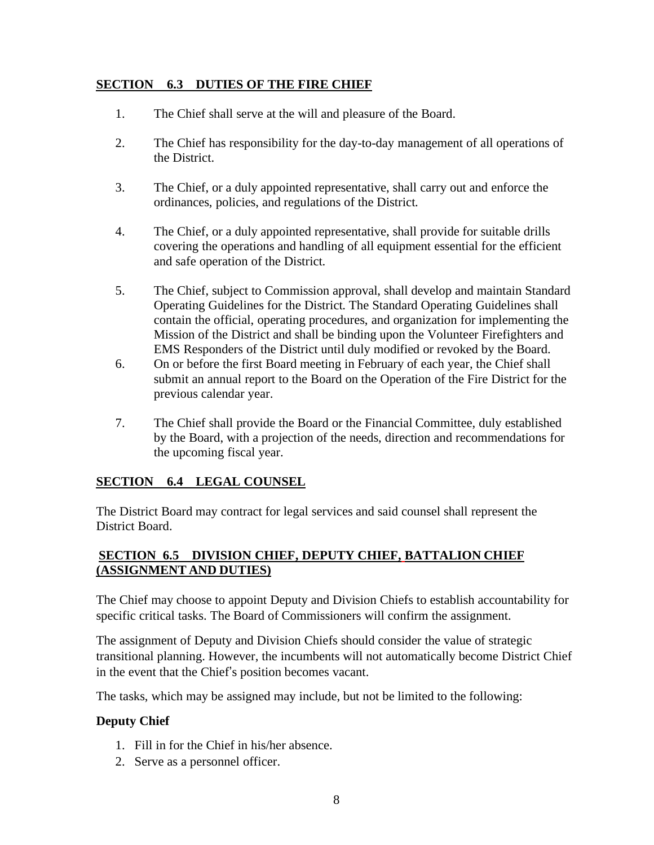## **SECTION 6.3 DUTIES OF THE FIRE CHIEF**

- 1. The Chief shall serve at the will and pleasure of the Board.
- 2. The Chief has responsibility for the day-to-day management of all operations of the District.
- 3. The Chief, or a duly appointed representative, shall carry out and enforce the ordinances, policies, and regulations of the District.
- 4. The Chief, or a duly appointed representative, shall provide for suitable drills covering the operations and handling of all equipment essential for the efficient and safe operation of the District.
- 5. The Chief, subject to Commission approval, shall develop and maintain Standard Operating Guidelines for the District. The Standard Operating Guidelines shall contain the official, operating procedures, and organization for implementing the Mission of the District and shall be binding upon the Volunteer Firefighters and EMS Responders of the District until duly modified or revoked by the Board.
- 6. On or before the first Board meeting in February of each year, the Chief shall submit an annual report to the Board on the Operation of the Fire District for the previous calendar year.
- 7. The Chief shall provide the Board or the Financial Committee, duly established by the Board, with a projection of the needs, direction and recommendations for the upcoming fiscal year.

# **SECTION 6.4 LEGAL COUNSEL**

The District Board may contract for legal services and said counsel shall represent the District Board.

# **SECTION 6.5 DIVISION CHIEF, DEPUTY CHIEF, BATTALION CHIEF (ASSIGNMENT AND DUTIES)**

The Chief may choose to appoint Deputy and Division Chiefs to establish accountability for specific critical tasks. The Board of Commissioners will confirm the assignment.

The assignment of Deputy and Division Chiefs should consider the value of strategic transitional planning. However, the incumbents will not automatically become District Chief in the event that the Chief's position becomes vacant.

The tasks, which may be assigned may include, but not be limited to the following:

# **Deputy Chief**

- 1. Fill in for the Chief in his/her absence.
- 2. Serve as a personnel officer.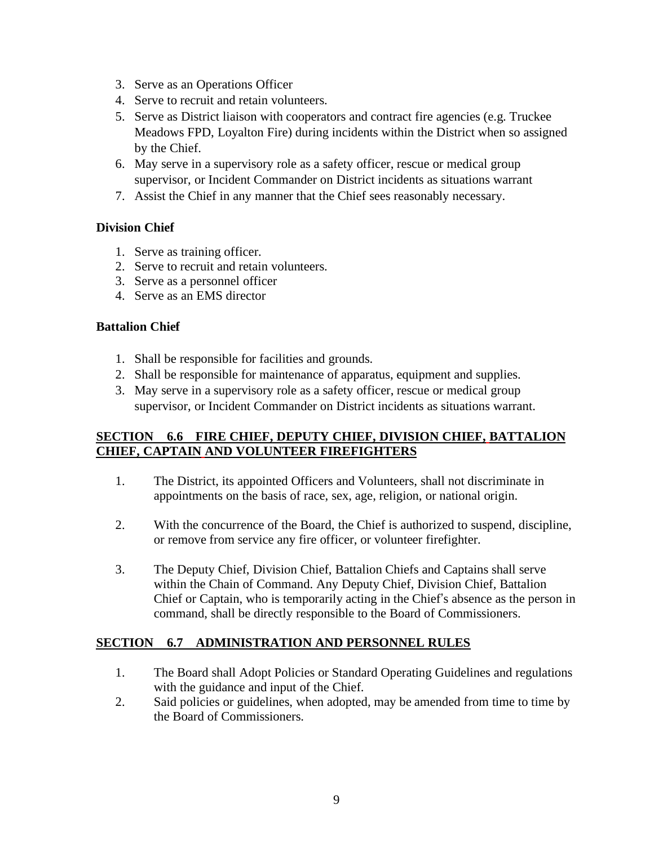- 3. Serve as an Operations Officer
- 4. Serve to recruit and retain volunteers.
- 5. Serve as District liaison with cooperators and contract fire agencies (e.g. Truckee Meadows FPD, Loyalton Fire) during incidents within the District when so assigned by the Chief.
- 6. May serve in a supervisory role as a safety officer, rescue or medical group supervisor, or Incident Commander on District incidents as situations warrant
- 7. Assist the Chief in any manner that the Chief sees reasonably necessary.

## **Division Chief**

- 1. Serve as training officer.
- 2. Serve to recruit and retain volunteers.
- 3. Serve as a personnel officer
- 4. Serve as an EMS director

#### **Battalion Chief**

- 1. Shall be responsible for facilities and grounds.
- 2. Shall be responsible for maintenance of apparatus, equipment and supplies.
- 3. May serve in a supervisory role as a safety officer, rescue or medical group supervisor, or Incident Commander on District incidents as situations warrant.

## **SECTION 6.6 FIRE CHIEF, DEPUTY CHIEF, DIVISION CHIEF, BATTALION CHIEF, CAPTAIN AND VOLUNTEER FIREFIGHTERS**

- 1. The District, its appointed Officers and Volunteers, shall not discriminate in appointments on the basis of race, sex, age, religion, or national origin.
- 2. With the concurrence of the Board, the Chief is authorized to suspend, discipline, or remove from service any fire officer, or volunteer firefighter.
- 3. The Deputy Chief, Division Chief, Battalion Chiefs and Captains shall serve within the Chain of Command. Any Deputy Chief, Division Chief, Battalion Chief or Captain, who is temporarily acting in the Chief's absence as the person in command, shall be directly responsible to the Board of Commissioners.

## **SECTION 6.7 ADMINISTRATION AND PERSONNEL RULES**

- 1. The Board shall Adopt Policies or Standard Operating Guidelines and regulations with the guidance and input of the Chief.
- 2. Said policies or guidelines, when adopted, may be amended from time to time by the Board of Commissioners.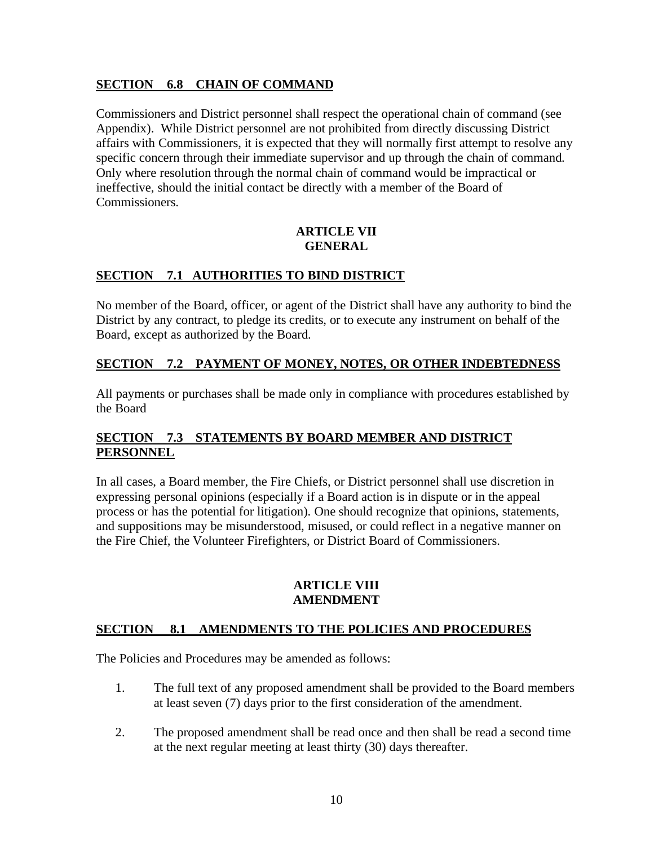# **SECTION 6.8 CHAIN OF COMMAND**

Commissioners and District personnel shall respect the operational chain of command (see Appendix). While District personnel are not prohibited from directly discussing District affairs with Commissioners, it is expected that they will normally first attempt to resolve any specific concern through their immediate supervisor and up through the chain of command. Only where resolution through the normal chain of command would be impractical or ineffective, should the initial contact be directly with a member of the Board of Commissioners.

#### **ARTICLE VII GENERAL**

# **SECTION 7.1 AUTHORITIES TO BIND DISTRICT**

No member of the Board, officer, or agent of the District shall have any authority to bind the District by any contract, to pledge its credits, or to execute any instrument on behalf of the Board, except as authorized by the Board.

# **SECTION 7.2 PAYMENT OF MONEY, NOTES, OR OTHER INDEBTEDNESS**

All payments or purchases shall be made only in compliance with procedures established by the Board

# **SECTION 7.3 STATEMENTS BY BOARD MEMBER AND DISTRICT PERSONNEL**

In all cases, a Board member, the Fire Chiefs, or District personnel shall use discretion in expressing personal opinions (especially if a Board action is in dispute or in the appeal process or has the potential for litigation). One should recognize that opinions, statements, and suppositions may be misunderstood, misused, or could reflect in a negative manner on the Fire Chief, the Volunteer Firefighters, or District Board of Commissioners.

#### **ARTICLE VIII AMENDMENT**

#### **SECTION 8.1 AMENDMENTS TO THE POLICIES AND PROCEDURES**

The Policies and Procedures may be amended as follows:

- 1. The full text of any proposed amendment shall be provided to the Board members at least seven (7) days prior to the first consideration of the amendment.
- 2. The proposed amendment shall be read once and then shall be read a second time at the next regular meeting at least thirty (30) days thereafter.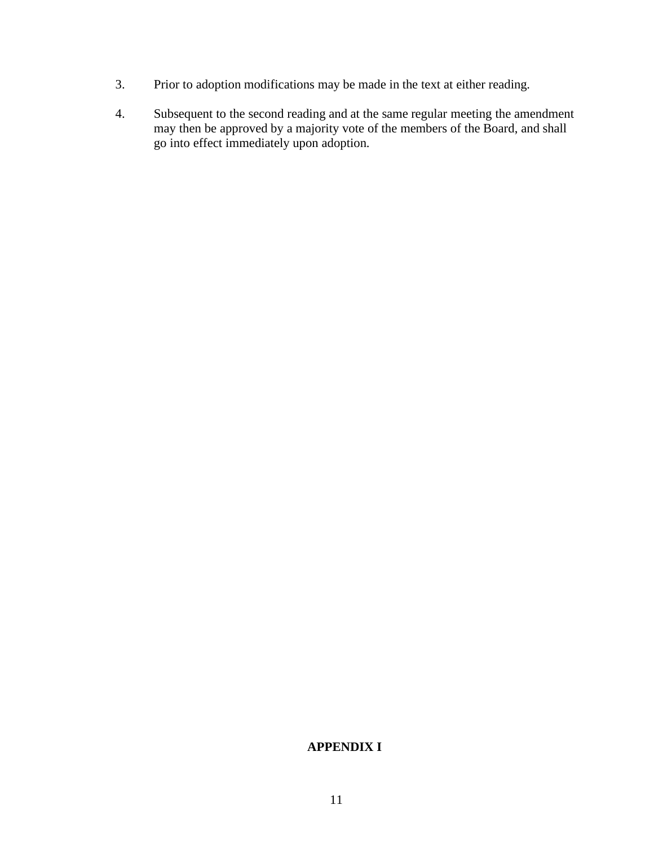- 3. Prior to adoption modifications may be made in the text at either reading.
- 4. Subsequent to the second reading and at the same regular meeting the amendment may then be approved by a majority vote of the members of the Board, and shall go into effect immediately upon adoption.

# **APPENDIX I**